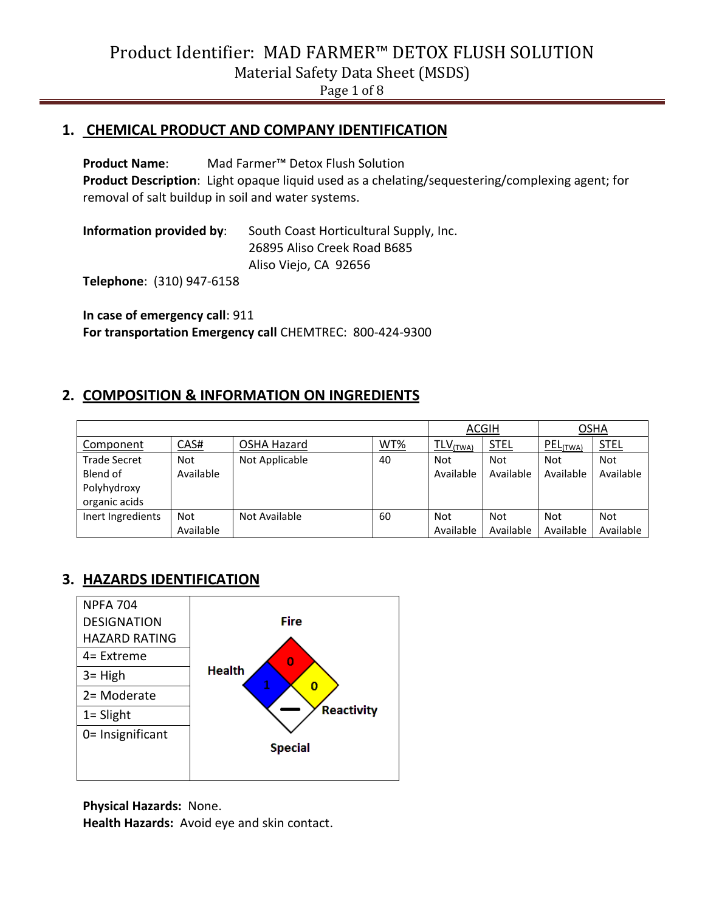Page 1 of 8

#### **1. CHEMICAL PRODUCT AND COMPANY IDENTIFICATION**

**Product Name**: Mad Farmer™ Detox Flush Solution **Product Description**: Light opaque liquid used as a chelating/sequestering/complexing agent; for removal of salt buildup in soil and water systems.

**Information provided by**: South Coast Horticultural Supply, Inc. 26895 Aliso Creek Road B685 Aliso Viejo, CA 92656

**Telephone**: (310) 947-6158

**In case of emergency call**: 911 **For transportation Emergency call** CHEMTREC: 800-424-9300

#### **2. COMPOSITION & INFORMATION ON INGREDIENTS**

|                     |            |                | <b>ACGIH</b> |                        | OSHA        |            |             |
|---------------------|------------|----------------|--------------|------------------------|-------------|------------|-------------|
| Component           | CAS#       | OSHA Hazard    | WT%          | $TLV$ <sub>(TWA)</sub> | <b>STEL</b> | PEL(TWA)   | <b>STEL</b> |
| <b>Trade Secret</b> | <b>Not</b> | Not Applicable | 40           | <b>Not</b>             | <b>Not</b>  | <b>Not</b> | <b>Not</b>  |
| Blend of            | Available  |                |              | Available              | Available   | Available  | Available   |
| Polyhydroxy         |            |                |              |                        |             |            |             |
| organic acids       |            |                |              |                        |             |            |             |
| Inert Ingredients   | <b>Not</b> | Not Available  | 60           | <b>Not</b>             | <b>Not</b>  | <b>Not</b> | <b>Not</b>  |
|                     | Available  |                |              | Available              | Available   | Available  | Available   |

## **3. HAZARDS IDENTIFICATION**



**Physical Hazards:** None.

**Health Hazards:** Avoid eye and skin contact.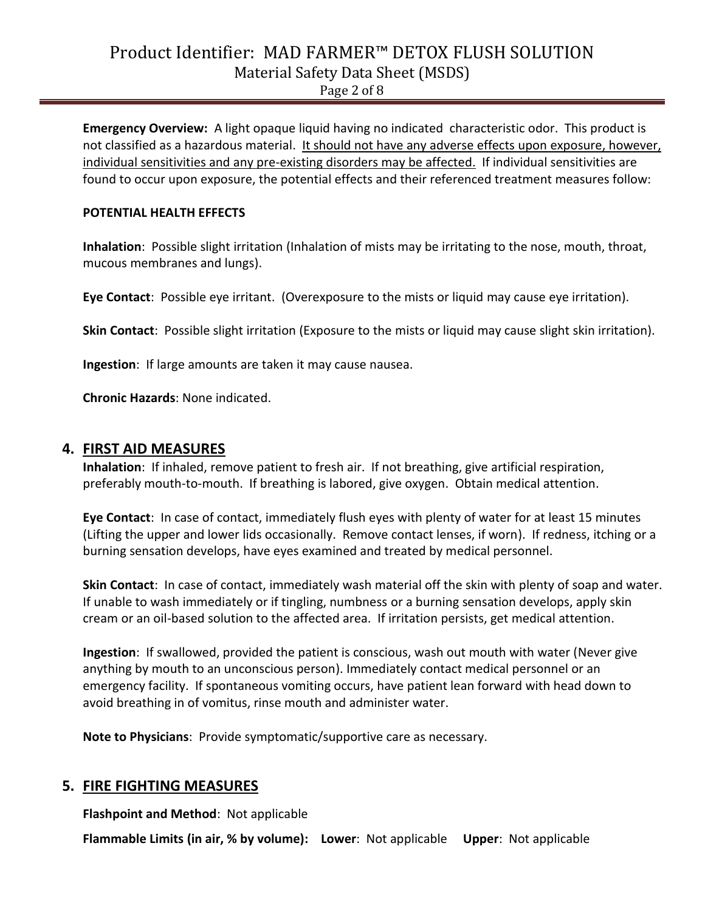Page 2 of 8

**Emergency Overview:** A light opaque liquid having no indicated characteristic odor. This product is not classified as a hazardous material. It should not have any adverse effects upon exposure, however, individual sensitivities and any pre-existing disorders may be affected. If individual sensitivities are found to occur upon exposure, the potential effects and their referenced treatment measures follow:

#### **POTENTIAL HEALTH EFFECTS**

**Inhalation**: Possible slight irritation (Inhalation of mists may be irritating to the nose, mouth, throat, mucous membranes and lungs).

**Eye Contact**: Possible eye irritant. (Overexposure to the mists or liquid may cause eye irritation).

**Skin Contact**: Possible slight irritation (Exposure to the mists or liquid may cause slight skin irritation).

**Ingestion**: If large amounts are taken it may cause nausea.

**Chronic Hazards**: None indicated.

#### **4. FIRST AID MEASURES**

**Inhalation**: If inhaled, remove patient to fresh air. If not breathing, give artificial respiration, preferably mouth-to-mouth. If breathing is labored, give oxygen. Obtain medical attention.

**Eye Contact**: In case of contact, immediately flush eyes with plenty of water for at least 15 minutes (Lifting the upper and lower lids occasionally. Remove contact lenses, if worn). If redness, itching or a burning sensation develops, have eyes examined and treated by medical personnel.

**Skin Contact**: In case of contact, immediately wash material off the skin with plenty of soap and water. If unable to wash immediately or if tingling, numbness or a burning sensation develops, apply skin cream or an oil-based solution to the affected area. If irritation persists, get medical attention.

**Ingestion**: If swallowed, provided the patient is conscious, wash out mouth with water (Never give anything by mouth to an unconscious person). Immediately contact medical personnel or an emergency facility. If spontaneous vomiting occurs, have patient lean forward with head down to avoid breathing in of vomitus, rinse mouth and administer water.

**Note to Physicians**: Provide symptomatic/supportive care as necessary.

#### **5. FIRE FIGHTING MEASURES**

**Flashpoint and Method**: Not applicable

**Flammable Limits (in air, % by volume): Lower**: Not applicable **Upper**: Not applicable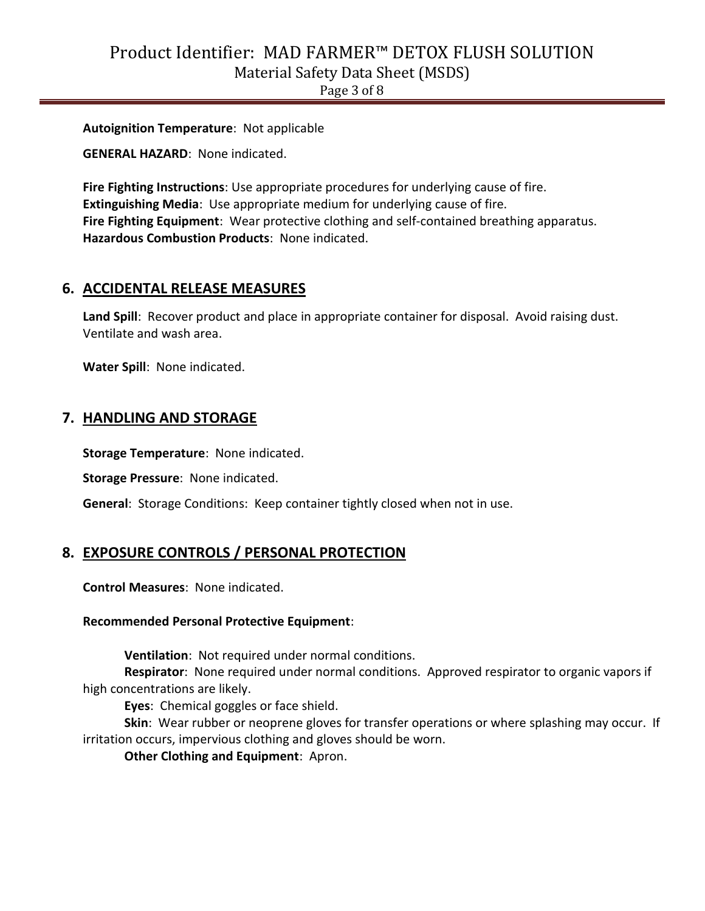Page 3 of 8

**Autoignition Temperature**: Not applicable

**GENERAL HAZARD**: None indicated.

**Fire Fighting Instructions**: Use appropriate procedures for underlying cause of fire. **Extinguishing Media**: Use appropriate medium for underlying cause of fire. **Fire Fighting Equipment**: Wear protective clothing and self-contained breathing apparatus. **Hazardous Combustion Products**: None indicated.

#### **6. ACCIDENTAL RELEASE MEASURES**

Land Spill: Recover product and place in appropriate container for disposal. Avoid raising dust. Ventilate and wash area.

**Water Spill**: None indicated.

#### **7. HANDLING AND STORAGE**

**Storage Temperature**: None indicated.

**Storage Pressure**: None indicated.

**General**: Storage Conditions: Keep container tightly closed when not in use.

#### **8. EXPOSURE CONTROLS / PERSONAL PROTECTION**

**Control Measures**: None indicated.

#### **Recommended Personal Protective Equipment**:

**Ventilation**: Not required under normal conditions.

**Respirator**: None required under normal conditions. Approved respirator to organic vapors if high concentrations are likely.

**Eyes**: Chemical goggles or face shield.

**Skin**: Wear rubber or neoprene gloves for transfer operations or where splashing may occur. If irritation occurs, impervious clothing and gloves should be worn.

**Other Clothing and Equipment**: Apron.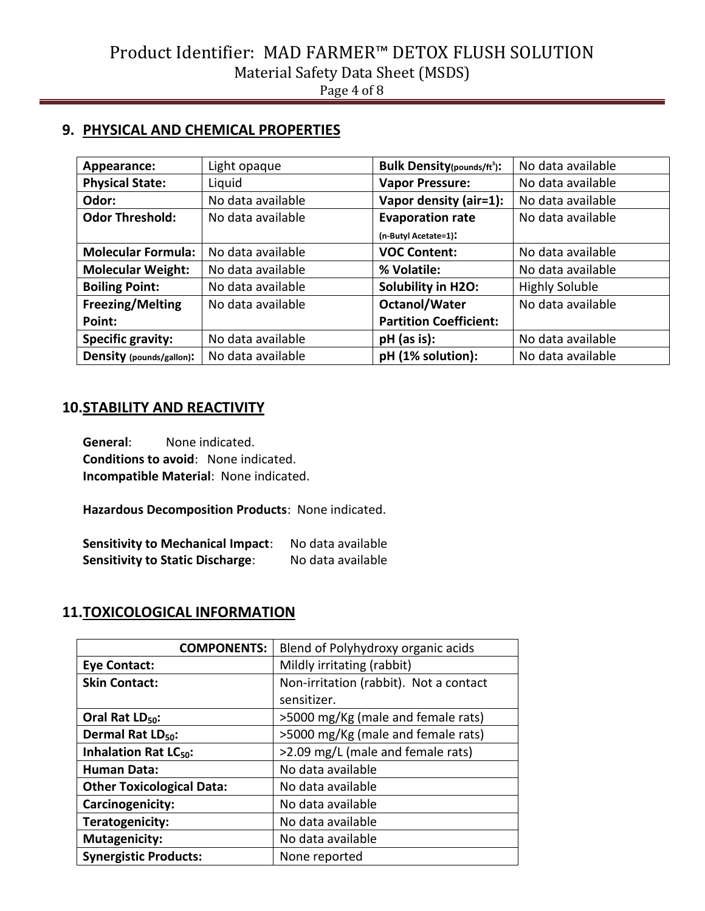### **9. PHYSICAL AND CHEMICAL PROPERTIES**

| Appearance:               | Light opaque      | <b>Bulk Density(pounds/ft3):</b> | No data available     |
|---------------------------|-------------------|----------------------------------|-----------------------|
| <b>Physical State:</b>    | Liquid            | <b>Vapor Pressure:</b>           | No data available     |
| Odor:                     | No data available | Vapor density (air=1):           | No data available     |
| <b>Odor Threshold:</b>    | No data available | <b>Evaporation rate</b>          | No data available     |
|                           |                   | (n-Butyl Acetate=1):             |                       |
| <b>Molecular Formula:</b> | No data available | <b>VOC Content:</b>              | No data available     |
| <b>Molecular Weight:</b>  | No data available | % Volatile:                      | No data available     |
| <b>Boiling Point:</b>     | No data available | Solubility in H2O:               | <b>Highly Soluble</b> |
| <b>Freezing/Melting</b>   | No data available | <b>Octanol/Water</b>             | No data available     |
| Point:                    |                   | <b>Partition Coefficient:</b>    |                       |
| <b>Specific gravity:</b>  | No data available | $pH$ (as is):                    | No data available     |
| Density (pounds/gallon):  | No data available | pH (1% solution):                | No data available     |

### **10.STABILITY AND REACTIVITY**

**General**: None indicated. **Conditions to avoid**: None indicated. **Incompatible Material**: None indicated.

**Hazardous Decomposition Products**: None indicated.

**Sensitivity to Mechanical Impact**: No data available **Sensitivity to Static Discharge**: No data available

## **11.TOXICOLOGICAL INFORMATION**

| <b>COMPONENTS:</b>                     | Blend of Polyhydroxy organic acids     |  |
|----------------------------------------|----------------------------------------|--|
| <b>Eye Contact:</b>                    | Mildly irritating (rabbit)             |  |
| <b>Skin Contact:</b>                   | Non-irritation (rabbit). Not a contact |  |
|                                        | sensitizer.                            |  |
| Oral Rat LD <sub>50</sub> :            | >5000 mg/Kg (male and female rats)     |  |
| Dermal Rat LD <sub>50</sub> :          | >5000 mg/Kg (male and female rats)     |  |
| <b>Inhalation Rat LC<sub>50</sub>:</b> | >2.09 mg/L (male and female rats)      |  |
| <b>Human Data:</b>                     | No data available                      |  |
| <b>Other Toxicological Data:</b>       | No data available                      |  |
| Carcinogenicity:                       | No data available                      |  |
| Teratogenicity:                        | No data available                      |  |
| <b>Mutagenicity:</b>                   | No data available                      |  |
| <b>Synergistic Products:</b>           | None reported                          |  |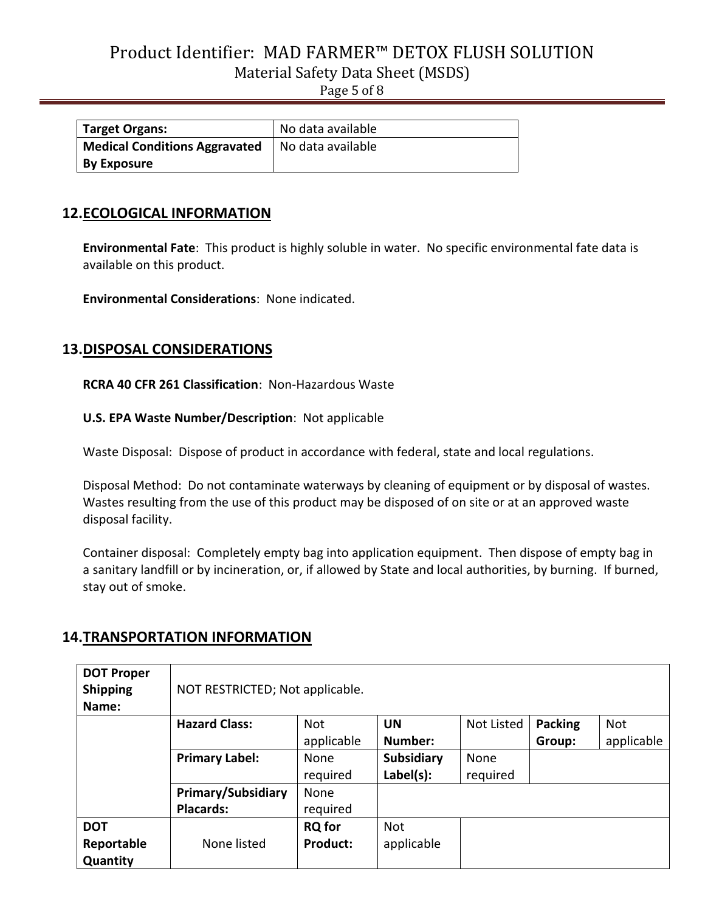Page 5 of 8

| <b>Target Organs:</b>                | No data available |
|--------------------------------------|-------------------|
| <b>Medical Conditions Aggravated</b> | No data available |
| <b>By Exposure</b>                   |                   |

### **12.ECOLOGICAL INFORMATION**

**Environmental Fate**: This product is highly soluble in water. No specific environmental fate data is available on this product.

**Environmental Considerations**: None indicated.

### **13.DISPOSAL CONSIDERATIONS**

**RCRA 40 CFR 261 Classification**: Non-Hazardous Waste

**U.S. EPA Waste Number/Description**: Not applicable

Waste Disposal: Dispose of product in accordance with federal, state and local regulations.

Disposal Method: Do not contaminate waterways by cleaning of equipment or by disposal of wastes. Wastes resulting from the use of this product may be disposed of on site or at an approved waste disposal facility.

Container disposal: Completely empty bag into application equipment. Then dispose of empty bag in a sanitary landfill or by incineration, or, if allowed by State and local authorities, by burning. If burned, stay out of smoke.

## **14.TRANSPORTATION INFORMATION**

| <b>DOT Proper</b><br><b>Shipping</b><br>Name: | NOT RESTRICTED; Not applicable. |               |            |                   |                |            |
|-----------------------------------------------|---------------------------------|---------------|------------|-------------------|----------------|------------|
|                                               | <b>Hazard Class:</b>            | <b>Not</b>    | <b>UN</b>  | <b>Not Listed</b> | <b>Packing</b> | <b>Not</b> |
|                                               |                                 | applicable    | Number:    |                   | Group:         | applicable |
|                                               | <b>Primary Label:</b>           | None          | Subsidiary | None              |                |            |
|                                               |                                 | required      | Label(s):  | required          |                |            |
|                                               | <b>Primary/Subsidiary</b>       | None          |            |                   |                |            |
|                                               | <b>Placards:</b>                | required      |            |                   |                |            |
| <b>DOT</b>                                    |                                 | <b>RQ</b> for | <b>Not</b> |                   |                |            |
| Reportable                                    | None listed                     | Product:      | applicable |                   |                |            |
| Quantity                                      |                                 |               |            |                   |                |            |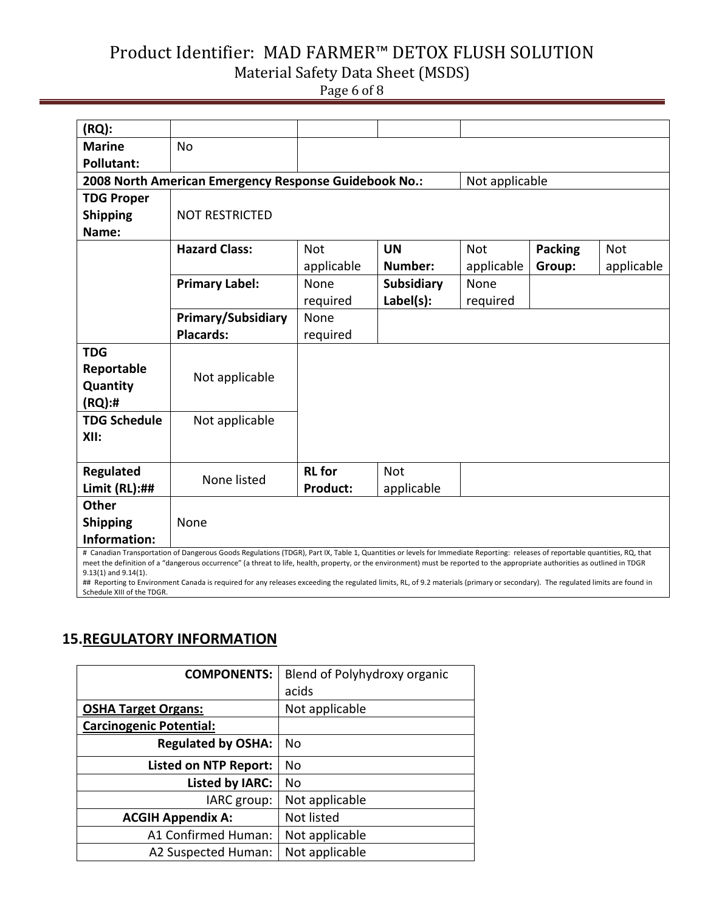Page 6 of 8

| (RQ):                                                                                                                                                                                                                                                                                                                                                        |                                                       |                 |                   |                |                |            |
|--------------------------------------------------------------------------------------------------------------------------------------------------------------------------------------------------------------------------------------------------------------------------------------------------------------------------------------------------------------|-------------------------------------------------------|-----------------|-------------------|----------------|----------------|------------|
| <b>Marine</b>                                                                                                                                                                                                                                                                                                                                                | <b>No</b>                                             |                 |                   |                |                |            |
| <b>Pollutant:</b>                                                                                                                                                                                                                                                                                                                                            |                                                       |                 |                   |                |                |            |
|                                                                                                                                                                                                                                                                                                                                                              | 2008 North American Emergency Response Guidebook No.: |                 |                   | Not applicable |                |            |
| <b>TDG Proper</b>                                                                                                                                                                                                                                                                                                                                            |                                                       |                 |                   |                |                |            |
| <b>Shipping</b>                                                                                                                                                                                                                                                                                                                                              | <b>NOT RESTRICTED</b>                                 |                 |                   |                |                |            |
| Name:                                                                                                                                                                                                                                                                                                                                                        |                                                       |                 |                   |                |                |            |
|                                                                                                                                                                                                                                                                                                                                                              | <b>Hazard Class:</b>                                  | <b>Not</b>      | <b>UN</b>         | <b>Not</b>     | <b>Packing</b> | <b>Not</b> |
|                                                                                                                                                                                                                                                                                                                                                              |                                                       | applicable      | Number:           | applicable     | Group:         | applicable |
|                                                                                                                                                                                                                                                                                                                                                              | <b>Primary Label:</b>                                 | None            | <b>Subsidiary</b> | None           |                |            |
|                                                                                                                                                                                                                                                                                                                                                              |                                                       | required        | Label(s):         | required       |                |            |
|                                                                                                                                                                                                                                                                                                                                                              | <b>Primary/Subsidiary</b>                             | None            |                   |                |                |            |
|                                                                                                                                                                                                                                                                                                                                                              | <b>Placards:</b>                                      | required        |                   |                |                |            |
| <b>TDG</b>                                                                                                                                                                                                                                                                                                                                                   |                                                       |                 |                   |                |                |            |
| Reportable                                                                                                                                                                                                                                                                                                                                                   | Not applicable                                        |                 |                   |                |                |            |
| Quantity                                                                                                                                                                                                                                                                                                                                                     |                                                       |                 |                   |                |                |            |
| (RQ):#                                                                                                                                                                                                                                                                                                                                                       |                                                       |                 |                   |                |                |            |
| <b>TDG Schedule</b>                                                                                                                                                                                                                                                                                                                                          | Not applicable                                        |                 |                   |                |                |            |
| XII:                                                                                                                                                                                                                                                                                                                                                         |                                                       |                 |                   |                |                |            |
|                                                                                                                                                                                                                                                                                                                                                              |                                                       |                 |                   |                |                |            |
| Regulated                                                                                                                                                                                                                                                                                                                                                    | None listed                                           | <b>RL</b> for   | <b>Not</b>        |                |                |            |
| Limit $(RL):##$                                                                                                                                                                                                                                                                                                                                              |                                                       | <b>Product:</b> | applicable        |                |                |            |
| <b>Other</b>                                                                                                                                                                                                                                                                                                                                                 |                                                       |                 |                   |                |                |            |
| <b>Shipping</b>                                                                                                                                                                                                                                                                                                                                              | None                                                  |                 |                   |                |                |            |
| Information:                                                                                                                                                                                                                                                                                                                                                 |                                                       |                 |                   |                |                |            |
| # Canadian Transportation of Dangerous Goods Regulations (TDGR), Part IX, Table 1, Quantities or levels for Immediate Reporting: releases of reportable quantities, RQ, that<br>meet the definition of a "dangerous occurrence" (a threat to life, health, property, or the environment) must be reported to the appropriate authorities as outlined in TDGR |                                                       |                 |                   |                |                |            |
| $9.13(1)$ and $9.14(1)$ .                                                                                                                                                                                                                                                                                                                                    |                                                       |                 |                   |                |                |            |
| ## Reporting to Environment Canada is required for any releases exceeding the regulated limits, RL, of 9.2 materials (primary or secondary). The regulated limits are found in                                                                                                                                                                               |                                                       |                 |                   |                |                |            |

Schedule XIII of the TDGR.

## **15.REGULATORY INFORMATION**

| <b>COMPONENTS:</b>             | Blend of Polyhydroxy organic |
|--------------------------------|------------------------------|
|                                | acids                        |
| <b>OSHA Target Organs:</b>     | Not applicable               |
| <b>Carcinogenic Potential:</b> |                              |
| <b>Regulated by OSHA:</b>      | No                           |
| <b>Listed on NTP Report:</b>   | No                           |
| <b>Listed by IARC:</b>         | No                           |
| IARC group:                    | Not applicable               |
| <b>ACGIH Appendix A:</b>       | Not listed                   |
| A1 Confirmed Human:            | Not applicable               |
| A2 Suspected Human:            | Not applicable               |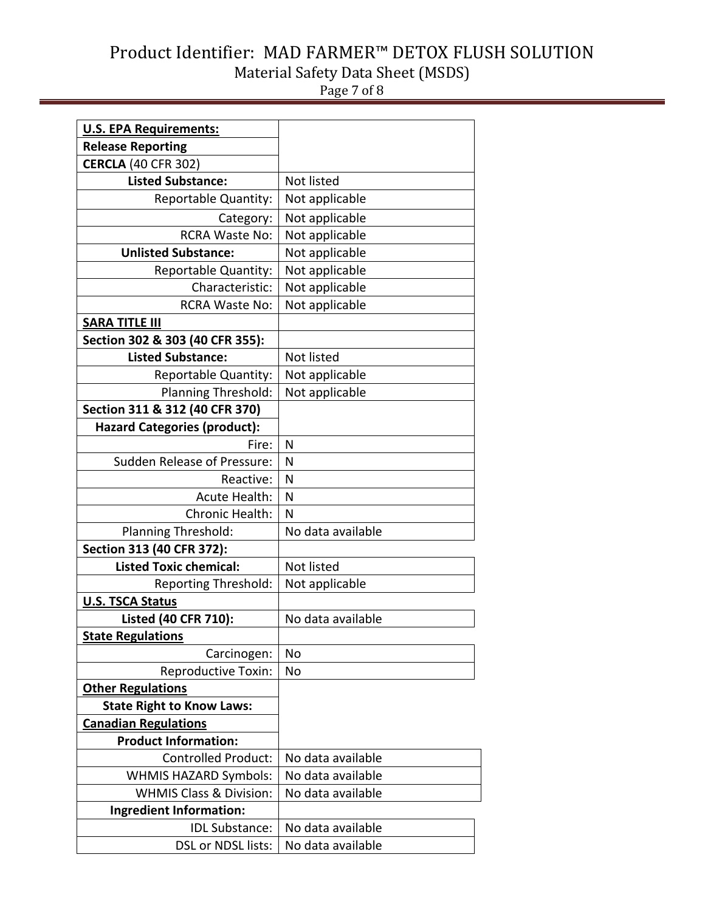Page 7 of 8

| <b>U.S. EPA Requirements:</b>       |                   |  |  |
|-------------------------------------|-------------------|--|--|
| <b>Release Reporting</b>            |                   |  |  |
| <b>CERCLA (40 CFR 302)</b>          |                   |  |  |
| <b>Listed Substance:</b>            | Not listed        |  |  |
| Reportable Quantity:                | Not applicable    |  |  |
| Category:                           | Not applicable    |  |  |
| <b>RCRA Waste No:</b>               | Not applicable    |  |  |
| <b>Unlisted Substance:</b>          | Not applicable    |  |  |
| Reportable Quantity:                | Not applicable    |  |  |
| Characteristic:                     | Not applicable    |  |  |
| <b>RCRA Waste No:</b>               | Not applicable    |  |  |
| <b>SARA TITLE III</b>               |                   |  |  |
| Section 302 & 303 (40 CFR 355):     |                   |  |  |
| <b>Listed Substance:</b>            | Not listed        |  |  |
| Reportable Quantity:                | Not applicable    |  |  |
| Planning Threshold:                 | Not applicable    |  |  |
| Section 311 & 312 (40 CFR 370)      |                   |  |  |
| <b>Hazard Categories (product):</b> |                   |  |  |
| Fire:                               | N                 |  |  |
| <b>Sudden Release of Pressure:</b>  | N                 |  |  |
| Reactive:                           | N                 |  |  |
| <b>Acute Health:</b>                | N                 |  |  |
| Chronic Health:                     | N                 |  |  |
| Planning Threshold:                 | No data available |  |  |
| Section 313 (40 CFR 372):           |                   |  |  |
| <b>Listed Toxic chemical:</b>       | Not listed        |  |  |
| <b>Reporting Threshold:</b>         | Not applicable    |  |  |
| <b>U.S. TSCA Status</b>             |                   |  |  |
| Listed (40 CFR 710):                | No data available |  |  |
| <b>State Regulations</b>            |                   |  |  |
| Carcinogen:                         | No                |  |  |
| <b>Reproductive Toxin:</b>          | No                |  |  |
| <b>Other Regulations</b>            |                   |  |  |
| <b>State Right to Know Laws:</b>    |                   |  |  |
| <b>Canadian Regulations</b>         |                   |  |  |
| <b>Product Information:</b>         |                   |  |  |
| <b>Controlled Product:</b>          | No data available |  |  |
| <b>WHMIS HAZARD Symbols:</b>        | No data available |  |  |
| <b>WHMIS Class &amp; Division:</b>  | No data available |  |  |
| <b>Ingredient Information:</b>      |                   |  |  |
| <b>IDL Substance:</b>               | No data available |  |  |
| DSL or NDSL lists:                  | No data available |  |  |